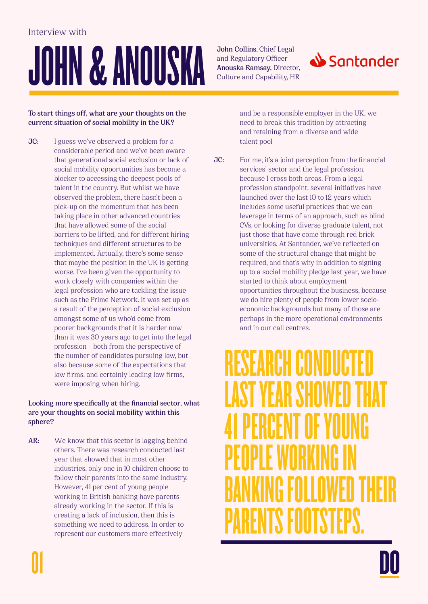# JOHN & ANOUSKA

**John Collins,** Chief Legal and Regulatory Officer **Anouska Ramsay,** Director, Culture and Capability, HR



**To start things off, what are your thoughts on the current situation of social mobility in the UK?** 

**JC:** I guess we've observed a problem for a considerable period and we've been aware that generational social exclusion or lack of social mobility opportunities has become a blocker to accessing the deepest pools of talent in the country. But whilst we have observed the problem, there hasn't been a pick-up on the momentum that has been taking place in other advanced countries that have allowed some of the social barriers to be lifted, and for different hiring techniques and different structures to be implemented. Actually, there's some sense that maybe the position in the UK is getting worse. I've been given the opportunity to work closely with companies within the legal profession who are tackling the issue such as the Prime Network. It was set up as a result of the perception of social exclusion amongst some of us who'd come from poorer backgrounds that it is harder now than it was 30 years ago to get into the legal profession – both from the perspective of the number of candidates pursuing law, but also because some of the expectations that law frms, and certainly leading law frms, were imposing when hiring.

#### **Looking more specifcally at the fnancial sector, what are your thoughts on social mobility within this sphere?**

**AR:** We know that this sector is lagging behind others. There was research conducted last year that showed that in most other industries, only one in 10 children choose to follow their parents into the same industry. However, 41 per cent of young people working in British banking have parents already working in the sector. If this is creating a lack of inclusion, then this is something we need to address. In order to represent our customers more effectively

and be a responsible employer in the UK, we need to break this tradition by attracting and retaining from a diverse and wide talent pool

**JC:** For me, it's a joint perception from the financial services' sector and the legal profession, because I cross both areas. From a legal profession standpoint, several initiatives have launched over the last 10 to 12 years which includes some useful practices that we can leverage in terms of an approach, such as blind CVs, or looking for diverse graduate talent, not just those that have come through red brick universities. At Santander, we've refected on some of the structural change that might be required, and that's why in addition to signing up to a social mobility pledge last year, we have started to think about employment opportunities throughout the business, because we do hire plenty of people from lower socioeconomic backgrounds but many of those are perhaps in the more operational environments and in our call centres.

## RESEARCH CONDUCTED LAST YEAR SHOWED THAT 41 PERCENT OF YOUNG PEOPLE WORKING IN BANKING FOLLOWED THEIR PARENTS FOOTSTEPS.

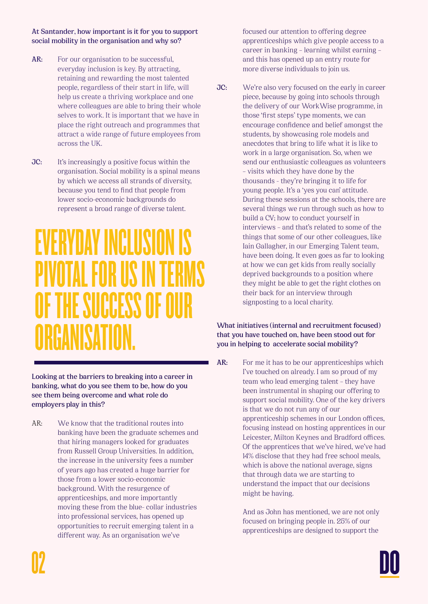**At Santander, how important is it for you to support social mobility in the organisation and why so?** 

- **AR:** For our organisation to be successful, everyday inclusion is key. By attracting, retaining and rewarding the most talented people, regardless of their start in life, will help us create a thriving workplace and one where colleagues are able to bring their whole selves to work. It is important that we have in place the right outreach and programmes that attract a wide range of future employees from across the UK.
- **JC:** It's increasingly a positive focus within the organisation. Social mobility is a spinal means by which we access all strands of diversity, because you tend to fnd that people from lower socio-economic backgrounds do represent a broad range of diverse talent.

## **/ERYDAY INCLUS** NOTEAL FOR USE **DF THE SUCCESS OF O** ORGANISATION.

**Looking at the barriers to breaking into a career in banking, what do you see them to be, how do you see them being overcome and what role do employers play in this?** 

AR: We know that the traditional routes into banking have been the graduate schemes and that hiring managers looked for graduates from Russell Group Universities. In addition, the increase in the university fees a number of years ago has created a huge barrier for those from a lower socio-economic background. With the resurgence of apprenticeships, and more importantly moving these from the blue- collar industries into professional services, has opened up opportunities to recruit emerging talent in a different way. As an organisation we've

focused our attention to offering degree apprenticeships which give people access to a career in banking – learning whilst earning – and this has opened up an entry route for more diverse individuals to join us.

**JC:** We're also very focused on the early in career piece, because by going into schools through the delivery of our WorkWise programme, in those 'frst steps' type moments, we can encourage confdence and belief amongst the students, by showcasing role models and anecdotes that bring to life what it is like to work in a large organisation. So, when we send our enthusiastic colleagues as volunteers – visits which they have done by the thousands - they're bringing it to life for young people. It's a 'yes you can' attitude. During these sessions at the schools, there are several things we run through such as how to build a CV; how to conduct yourself in interviews – and that's related to some of the things that some of our other colleagues, like Iain Gallagher, in our Emerging Talent team, have been doing. It even goes as far to looking at how we can get kids from really socially deprived backgrounds to a position where they might be able to get the right clothes on their back for an interview through signposting to a local charity.

#### **What initiatives (internal and recruitment focused) that you have touched on, have been stood out for you in helping to accelerate social mobility?**

AR: For me it has to be our apprenticeships which I've touched on already. I am so proud of my team who lead emerging talent – they have been instrumental in shaping our offering to support social mobility. One of the key drivers is that we do not run any of our apprenticeship schemes in our London offices, focusing instead on hosting apprentices in our Leicester, Milton Keynes and Bradford offices. Of the apprentices that we've hired, we've had 14% disclose that they had free school meals, which is above the national average, signs that through data we are starting to understand the impact that our decisions might be having.

> And as John has mentioned, we are not only focused on bringing people in. 25% of our apprenticeships are designed to support the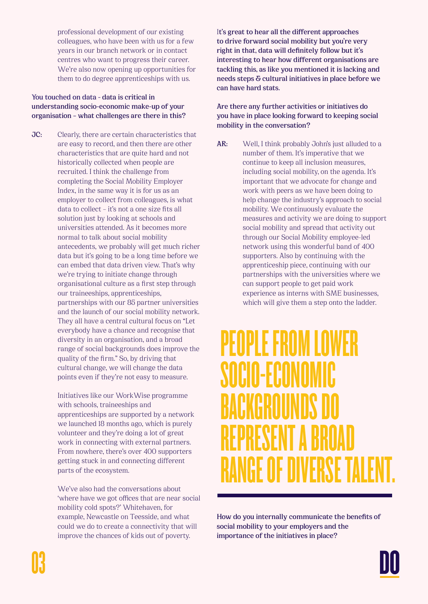professional development of our existing colleagues, who have been with us for a few years in our branch network or in contact centres who want to progress their career. We're also now opening up opportunities for them to do degree apprenticeships with us.

#### **You touched on data - data is critical in understanding socio-economic make-up of your organisation – what challenges are there in this?**

**JC:** Clearly, there are certain characteristics that are easy to record, and then there are other characteristics that are quite hard and not historically collected when people are recruited. I think the challenge from completing the Social Mobility Employer Index, in the same way it is for us as an employer to collect from colleagues, is what data to collect – it's not a one size fts all solution just by looking at schools and universities attended. As it becomes more normal to talk about social mobility antecedents, we probably will get much richer data but it's going to be a long time before we can embed that data driven view. That's why we're trying to initiate change through organisational culture as a frst step through our traineeships, apprenticeships, partnerships with our 85 partner universities and the launch of our social mobility network. They all have a central cultural focus on "Let everybody have a chance and recognise that diversity in an organisation, and a broad range of social backgrounds does improve the quality of the frm." So, by driving that cultural change, we will change the data points even if they're not easy to measure.

> Initiatives like our WorkWise programme with schools, traineeships and apprenticeships are supported by a network we launched 18 months ago, which is purely volunteer and they're doing a lot of great work in connecting with external partners. From nowhere, there's over 400 supporters getting stuck in and connecting different parts of the ecosystem.

 We've also had the conversations about 'where have we got offices that are near social mobility cold spots?' Whitehaven, for example, Newcastle on Teesside, and what could we do to create a connectivity that will improve the chances of kids out of poverty.

I**t's great to hear all the different approaches to drive forward social mobility but you're very right in that, data will defnitely follow but it's interesting to hear how different organisations are tackling this, as like you mentioned it is lacking and needs steps & cultural initiatives in place before we can have hard stats.** 

#### **Are there any further activities or initiatives do you have in place looking forward to keeping social mobility in the conversation?**

**AR:** Well, I think probably John's just alluded to a number of them. It's imperative that we continue to keep all inclusion measures, including social mobility, on the agenda. It's important that we advocate for change and work with peers as we have been doing to help change the industry's approach to social mobility. We continuously evaluate the measures and activity we are doing to support social mobility and spread that activity out through our Social Mobility employee-led network using this wonderful band of 400 supporters. Also by continuing with the apprenticeship piece, continuing with our partnerships with the universities where we can support people to get paid work experience as interns with SME businesses, which will give them a step onto the ladder.

### PEOPLE FROM LOWER SOCIO-ECONOMIC BACKGROUNDS DO REPRESENT A BROAD **ALE DIVER**

**How do you internally communicate the benefts of social mobility to your employers and the importance of the initiatives in place?**